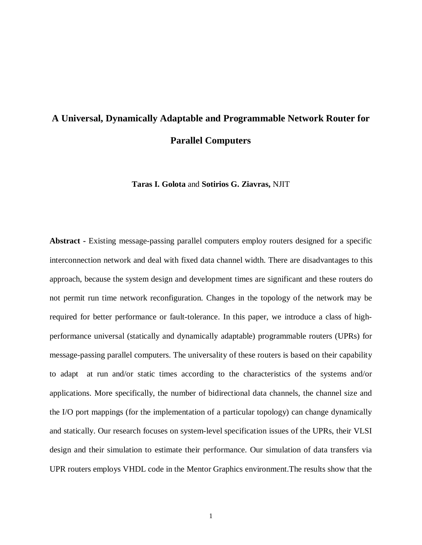# **A Universal, Dynamically Adaptable and Programmable Network Router for Parallel Computers**

**Taras I. Golota** and **Sotirios G. Ziavras,** NJIT

**Abstract -** Existing message-passing parallel computers employ routers designed for a specific interconnection network and deal with fixed data channel width. There are disadvantages to this approach, because the system design and development times are significant and these routers do not permit run time network reconfiguration. Changes in the topology of the network may be required for better performance or fault-tolerance. In this paper, we introduce a class of highperformance universal (statically and dynamically adaptable) programmable routers (UPRs) for message-passing parallel computers. The universality of these routers is based on their capability to adapt at run and/or static times according to the characteristics of the systems and/or applications. More specifically, the number of bidirectional data channels, the channel size and the I/O port mappings (for the implementation of a particular topology) can change dynamically and statically. Our research focuses on system-level specification issues of the UPRs, their VLSI design and their simulation to estimate their performance. Our simulation of data transfers via UPR routers employs VHDL code in the Mentor Graphics environment.The results show that the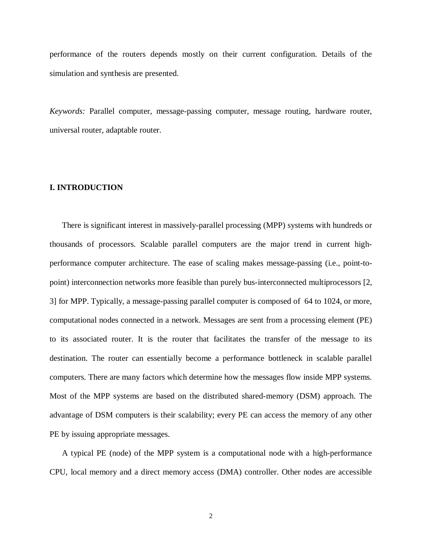performance of the routers depends mostly on their current configuration. Details of the simulation and synthesis are presented.

*Keywords:* Parallel computer, message-passing computer, message routing, hardware router, universal router, adaptable router.

# **I. INTRODUCTION**

There is significant interest in massively-parallel processing (MPP) systems with hundreds or thousands of processors. Scalable parallel computers are the major trend in current highperformance computer architecture. The ease of scaling makes message-passing (i.e., point-topoint) interconnection networks more feasible than purely bus-interconnected multiprocessors [2, 3] for MPP. Typically, a message-passing parallel computer is composed of 64 to 1024, or more, computational nodes connected in a network. Messages are sent from a processing element (PE) to its associated router. It is the router that facilitates the transfer of the message to its destination. The router can essentially become a performance bottleneck in scalable parallel computers. There are many factors which determine how the messages flow inside MPP systems. Most of the MPP systems are based on the distributed shared-memory (DSM) approach. The advantage of DSM computers is their scalability; every PE can access the memory of any other PE by issuing appropriate messages.

A typical PE (node) of the MPP system is a computational node with a high-performance CPU, local memory and a direct memory access (DMA) controller. Other nodes are accessible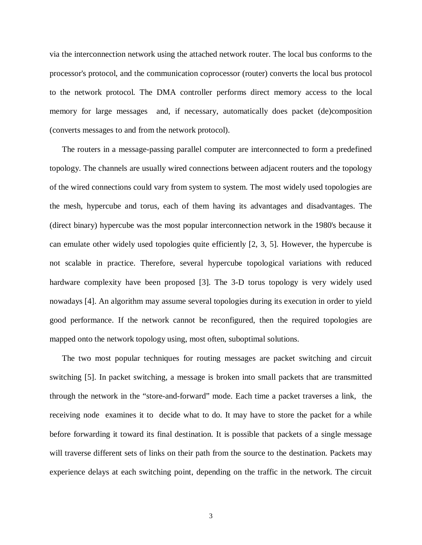via the interconnection network using the attached network router. The local bus conforms to the processor's protocol, and the communication coprocessor (router) converts the local bus protocol to the network protocol. The DMA controller performs direct memory access to the local memory for large messages and, if necessary, automatically does packet (de)composition (converts messages to and from the network protocol).

The routers in a message-passing parallel computer are interconnected to form a predefined topology. The channels are usually wired connections between adjacent routers and the topology of the wired connections could vary from system to system. The most widely used topologies are the mesh, hypercube and torus, each of them having its advantages and disadvantages. The (direct binary) hypercube was the most popular interconnection network in the 1980's because it can emulate other widely used topologies quite efficiently [2, 3, 5]. However, the hypercube is not scalable in practice. Therefore, several hypercube topological variations with reduced hardware complexity have been proposed [3]. The 3-D torus topology is very widely used nowadays [4]. An algorithm may assume several topologies during its execution in order to yield good performance. If the network cannot be reconfigured, then the required topologies are mapped onto the network topology using, most often, suboptimal solutions.

The two most popular techniques for routing messages are packet switching and circuit switching [5]. In packet switching, a message is broken into small packets that are transmitted through the network in the "store-and-forward" mode. Each time a packet traverses a link, the receiving node examines it to decide what to do. It may have to store the packet for a while before forwarding it toward its final destination. It is possible that packets of a single message will traverse different sets of links on their path from the source to the destination. Packets may experience delays at each switching point, depending on the traffic in the network. The circuit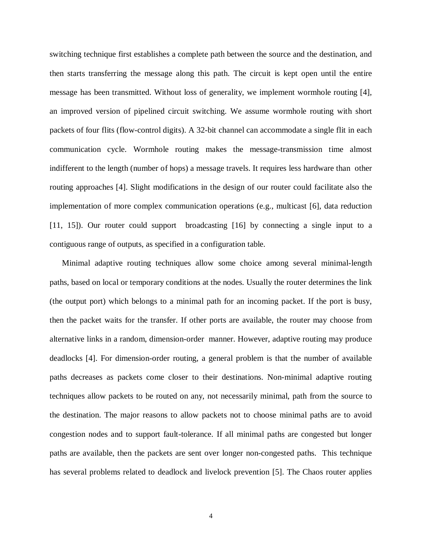switching technique first establishes a complete path between the source and the destination, and then starts transferring the message along this path. The circuit is kept open until the entire message has been transmitted. Without loss of generality, we implement wormhole routing [4], an improved version of pipelined circuit switching. We assume wormhole routing with short packets of four flits (flow-control digits). A 32-bit channel can accommodate a single flit in each communication cycle. Wormhole routing makes the message-transmission time almost indifferent to the length (number of hops) a message travels. It requires less hardware than other routing approaches [4]. Slight modifications in the design of our router could facilitate also the implementation of more complex communication operations (e.g., multicast [6], data reduction [11, 15]). Our router could support broadcasting [16] by connecting a single input to a contiguous range of outputs, as specified in a configuration table.

Minimal adaptive routing techniques allow some choice among several minimal-length paths, based on local or temporary conditions at the nodes. Usually the router determines the link (the output port) which belongs to a minimal path for an incoming packet. If the port is busy, then the packet waits for the transfer. If other ports are available, the router may choose from alternative links in a random, dimension-order manner. However, adaptive routing may produce deadlocks [4]. For dimension-order routing, a general problem is that the number of available paths decreases as packets come closer to their destinations. Non-minimal adaptive routing techniques allow packets to be routed on any, not necessarily minimal, path from the source to the destination. The major reasons to allow packets not to choose minimal paths are to avoid congestion nodes and to support fault-tolerance. If all minimal paths are congested but longer paths are available, then the packets are sent over longer non-congested paths. This technique has several problems related to deadlock and livelock prevention [5]. The Chaos router applies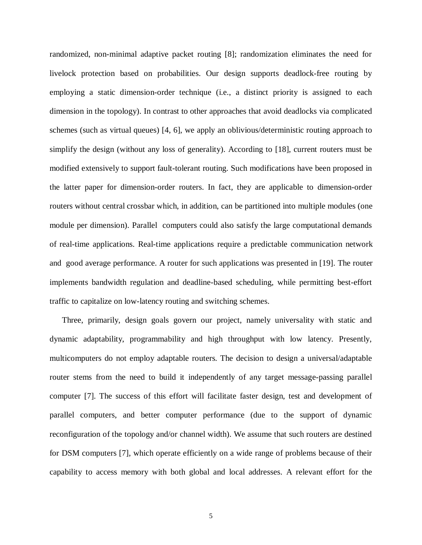randomized, non-minimal adaptive packet routing [8]; randomization eliminates the need for livelock protection based on probabilities. Our design supports deadlock-free routing by employing a static dimension-order technique (i.e., a distinct priority is assigned to each dimension in the topology). In contrast to other approaches that avoid deadlocks via complicated schemes (such as virtual queues) [4, 6], we apply an oblivious/deterministic routing approach to simplify the design (without any loss of generality). According to [18], current routers must be modified extensively to support fault-tolerant routing. Such modifications have been proposed in the latter paper for dimension-order routers. In fact, they are applicable to dimension-order routers without central crossbar which, in addition, can be partitioned into multiple modules (one module per dimension). Parallel computers could also satisfy the large computational demands of real-time applications. Real-time applications require a predictable communication network and good average performance. A router for such applications was presented in [19]. The router implements bandwidth regulation and deadline-based scheduling, while permitting best-effort traffic to capitalize on low-latency routing and switching schemes.

Three, primarily, design goals govern our project, namely universality with static and dynamic adaptability, programmability and high throughput with low latency. Presently, multicomputers do not employ adaptable routers. The decision to design a universal/adaptable router stems from the need to build it independently of any target message-passing parallel computer [7]. The success of this effort will facilitate faster design, test and development of parallel computers, and better computer performance (due to the support of dynamic reconfiguration of the topology and/or channel width). We assume that such routers are destined for DSM computers [7], which operate efficiently on a wide range of problems because of their capability to access memory with both global and local addresses. A relevant effort for the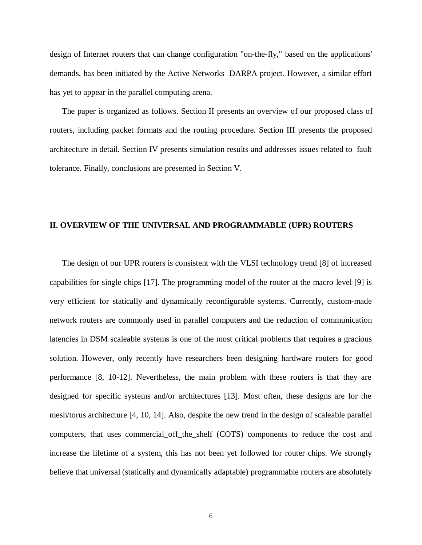design of Internet routers that can change configuration "on-the-fly," based on the applications' demands, has been initiated by the Active Networks DARPA project. However, a similar effort has yet to appear in the parallel computing arena.

The paper is organized as follows. Section II presents an overview of our proposed class of routers, including packet formats and the routing procedure. Section III presents the proposed architecture in detail. Section IV presents simulation results and addresses issues related to fault tolerance. Finally, conclusions are presented in Section V.

## **II. OVERVIEW OF THE UNIVERSAL AND PROGRAMMABLE (UPR) ROUTERS**

The design of our UPR routers is consistent with the VLSI technology trend [8] of increased capabilities for single chips [17]. The programming model of the router at the macro level [9] is very efficient for statically and dynamically reconfigurable systems. Currently, custom-made network routers are commonly used in parallel computers and the reduction of communication latencies in DSM scaleable systems is one of the most critical problems that requires a gracious solution. However, only recently have researchers been designing hardware routers for good performance [8, 10-12]. Nevertheless, the main problem with these routers is that they are designed for specific systems and/or architectures [13]. Most often, these designs are for the mesh/torus architecture [4, 10, 14]. Also, despite the new trend in the design of scaleable parallel computers, that uses commercial\_off\_the\_shelf (COTS) components to reduce the cost and increase the lifetime of a system, this has not been yet followed for router chips. We strongly believe that universal (statically and dynamically adaptable) programmable routers are absolutely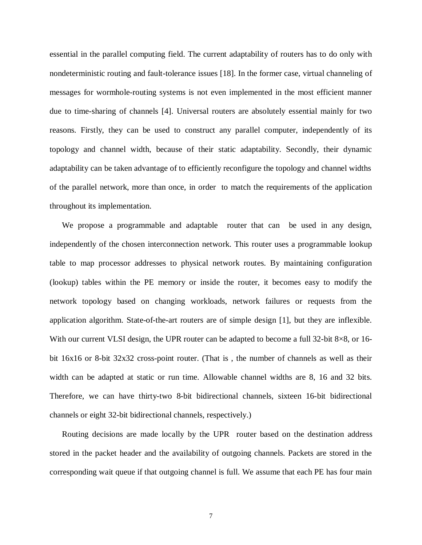essential in the parallel computing field. The current adaptability of routers has to do only with nondeterministic routing and fault-tolerance issues [18]. In the former case, virtual channeling of messages for wormhole-routing systems is not even implemented in the most efficient manner due to time-sharing of channels [4]. Universal routers are absolutely essential mainly for two reasons. Firstly, they can be used to construct any parallel computer, independently of its topology and channel width, because of their static adaptability. Secondly, their dynamic adaptability can be taken advantage of to efficiently reconfigure the topology and channel widths of the parallel network, more than once, in order to match the requirements of the application throughout its implementation.

We propose a programmable and adaptable router that can be used in any design, independently of the chosen interconnection network. This router uses a programmable lookup table to map processor addresses to physical network routes. By maintaining configuration (lookup) tables within the PE memory or inside the router, it becomes easy to modify the network topology based on changing workloads, network failures or requests from the application algorithm. State-of-the-art routers are of simple design [1], but they are inflexible. With our current VLSI design, the UPR router can be adapted to become a full 32-bit 8×8, or 16bit 16x16 or 8-bit 32x32 cross-point router. (That is , the number of channels as well as their width can be adapted at static or run time. Allowable channel widths are 8, 16 and 32 bits. Therefore, we can have thirty-two 8-bit bidirectional channels, sixteen 16-bit bidirectional channels or eight 32-bit bidirectional channels, respectively.)

Routing decisions are made locally by the UPR router based on the destination address stored in the packet header and the availability of outgoing channels. Packets are stored in the corresponding wait queue if that outgoing channel is full. We assume that each PE has four main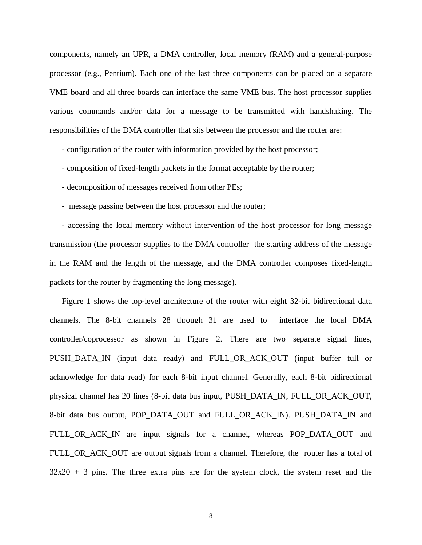components, namely an UPR, a DMA controller, local memory (RAM) and a general-purpose processor (e.g., Pentium). Each one of the last three components can be placed on a separate VME board and all three boards can interface the same VME bus. The host processor supplies various commands and/or data for a message to be transmitted with handshaking. The responsibilities of the DMA controller that sits between the processor and the router are:

- configuration of the router with information provided by the host processor;

- composition of fixed-length packets in the format acceptable by the router;
- decomposition of messages received from other PEs;
- message passing between the host processor and the router;

- accessing the local memory without intervention of the host processor for long message transmission (the processor supplies to the DMA controller the starting address of the message in the RAM and the length of the message, and the DMA controller composes fixed-length packets for the router by fragmenting the long message).

Figure 1 shows the top-level architecture of the router with eight 32-bit bidirectional data channels. The 8-bit channels 28 through 31 are used to interface the local DMA controller/coprocessor as shown in Figure 2. There are two separate signal lines, PUSH\_DATA\_IN (input data ready) and FULL\_OR\_ACK\_OUT (input buffer full or acknowledge for data read) for each 8-bit input channel. Generally, each 8-bit bidirectional physical channel has 20 lines (8-bit data bus input, PUSH\_DATA\_IN, FULL\_OR\_ACK\_OUT, 8-bit data bus output, POP\_DATA\_OUT and FULL\_OR\_ACK\_IN). PUSH\_DATA\_IN and FULL\_OR\_ACK\_IN are input signals for a channel, whereas POP\_DATA\_OUT and FULL\_OR\_ACK\_OUT are output signals from a channel. Therefore, the router has a total of  $32x20 + 3$  pins. The three extra pins are for the system clock, the system reset and the

8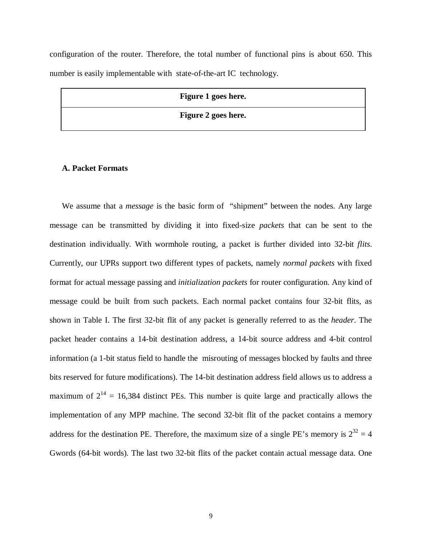configuration of the router. Therefore, the total number of functional pins is about 650. This number is easily implementable with state-of-the-art IC technology.

| Figure 1 goes here. |
|---------------------|
| Figure 2 goes here. |

#### **A. Packet Formats**

We assume that a *message* is the basic form of "shipment" between the nodes. Any large message can be transmitted by dividing it into fixed-size *packets* that can be sent to the destination individually. With wormhole routing, a packet is further divided into 32-bit *flits*. Currently, our UPRs support two different types of packets, namely *normal packets* with fixed format for actual message passing and *initialization packets* for router configuration. Any kind of message could be built from such packets. Each normal packet contains four 32-bit flits, as shown in Table I. The first 32-bit flit of any packet is generally referred to as the *header*. The packet header contains a 14-bit destination address, a 14-bit source address and 4-bit control information (a 1-bit status field to handle the misrouting of messages blocked by faults and three bits reserved for future modifications). The 14-bit destination address field allows us to address a maximum of  $2^{14} = 16,384$  distinct PEs. This number is quite large and practically allows the implementation of any MPP machine. The second 32-bit flit of the packet contains a memory address for the destination PE. Therefore, the maximum size of a single PE's memory is  $2^{32} = 4$ Gwords (64-bit words). The last two 32-bit flits of the packet contain actual message data. One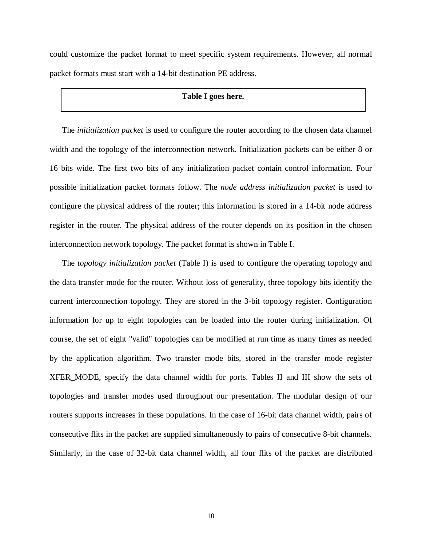could customize the packet format to meet specific system requirements. However, all normal packet formats must start with a 14-bit destination PE address.

# **Table I goes here.**

The *initialization packet* is used to configure the router according to the chosen data channel width and the topology of the interconnection network. Initialization packets can be either 8 or 16 bits wide. The first two bits of any initialization packet contain control information. Four possible initialization packet formats follow. The *node address initialization packet* is used to configure the physical address of the router; this information is stored in a 14-bit node address register in the router. The physical address of the router depends on its position in the chosen interconnection network topology. The packet format is shown in Table I.

The *topology initialization packet* (Table I) is used to configure the operating topology and the data transfer mode for the router. Without loss of generality, three topology bits identify the current interconnection topology. They are stored in the 3-bit topology register. Configuration information for up to eight topologies can be loaded into the router during initialization. Of course, the set of eight "valid" topologies can be modified at run time as many times as needed by the application algorithm. Two transfer mode bits, stored in the transfer mode register XFER\_MODE, specify the data channel width for ports. Tables II and III show the sets of topologies and transfer modes used throughout our presentation. The modular design of our routers supports increases in these populations. In the case of 16-bit data channel width, pairs of consecutive flits in the packet are supplied simultaneously to pairs of consecutive 8-bit channels. Similarly, in the case of 32-bit data channel width, all four flits of the packet are distributed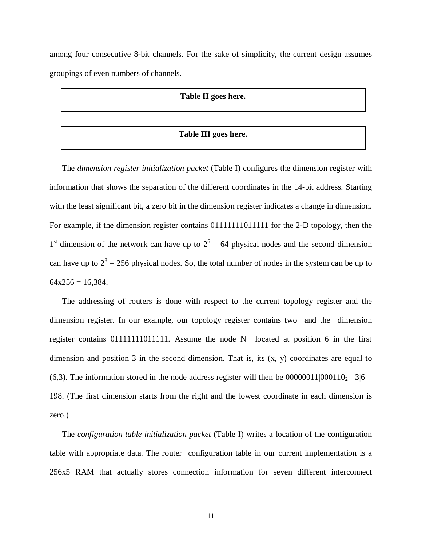among four consecutive 8-bit channels. For the sake of simplicity, the current design assumes groupings of even numbers of channels.

#### **Table II goes here.**

# **Table III goes here.**

The *dimension register initialization packet* (Table I) configures the dimension register with information that shows the separation of the different coordinates in the 14-bit address. Starting with the least significant bit, a zero bit in the dimension register indicates a change in dimension. For example, if the dimension register contains 01111111011111 for the 2-D topology, then the 1<sup>st</sup> dimension of the network can have up to  $2^6 = 64$  physical nodes and the second dimension can have up to  $2^8 = 256$  physical nodes. So, the total number of nodes in the system can be up to  $64x256 = 16,384.$ 

The addressing of routers is done with respect to the current topology register and the dimension register. In our example, our topology register contains two and the dimension register contains 01111111011111. Assume the node N located at position 6 in the first dimension and position 3 in the second dimension. That is, its (x, y) coordinates are equal to (6,3). The information stored in the node address register will then be  $00000011|000110_2 = 3|6 =$ 198. (The first dimension starts from the right and the lowest coordinate in each dimension is zero.)

The *configuration table initialization packet* (Table I) writes a location of the configuration table with appropriate data. The router configuration table in our current implementation is a 256x5 RAM that actually stores connection information for seven different interconnect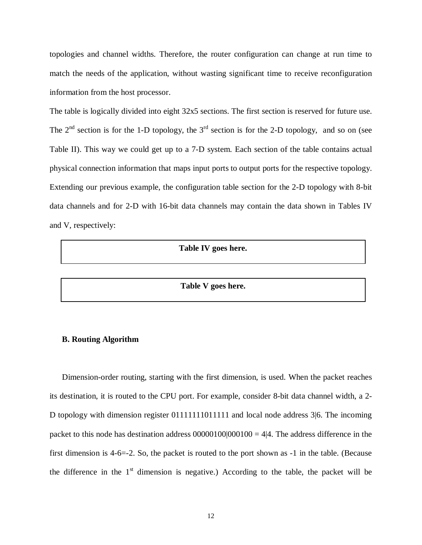topologies and channel widths. Therefore, the router configuration can change at run time to match the needs of the application, without wasting significant time to receive reconfiguration information from the host processor.

The table is logically divided into eight 32x5 sections. The first section is reserved for future use. The  $2<sup>nd</sup>$  section is for the 1-D topology, the  $3<sup>rd</sup>$  section is for the 2-D topology, and so on (see Table II). This way we could get up to a 7-D system. Each section of the table contains actual physical connection information that maps input ports to output ports for the respective topology. Extending our previous example, the configuration table section for the 2-D topology with 8-bit data channels and for 2-D with 16-bit data channels may contain the data shown in Tables IV and V, respectively:

#### **Table IV goes here.**

**Table V goes here.**

#### **B. Routing Algorithm**

Dimension-order routing, starting with the first dimension, is used. When the packet reaches its destination, it is routed to the CPU port. For example, consider 8-bit data channel width, a 2- D topology with dimension register 01111111011111 and local node address 3|6. The incoming packet to this node has destination address  $00000100|000100 = 4|4$ . The address difference in the first dimension is 4-6=-2. So, the packet is routed to the port shown as -1 in the table. (Because the difference in the  $1<sup>st</sup>$  dimension is negative.) According to the table, the packet will be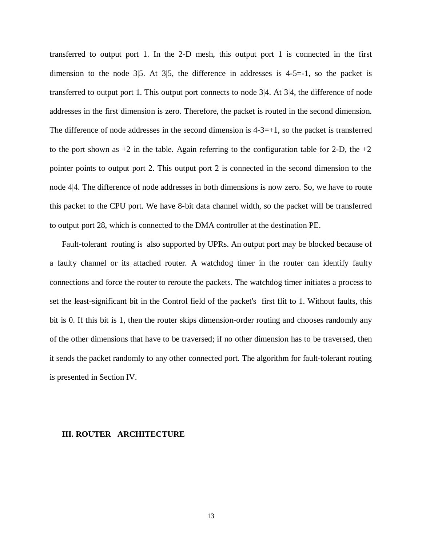transferred to output port 1. In the 2-D mesh, this output port 1 is connected in the first dimension to the node  $3|5$ . At  $3|5$ , the difference in addresses is  $4-5=1$ , so the packet is transferred to output port 1. This output port connects to node 3|4. At 3|4, the difference of node addresses in the first dimension is zero. Therefore, the packet is routed in the second dimension. The difference of node addresses in the second dimension is  $4-3=+1$ , so the packet is transferred to the port shown as  $+2$  in the table. Again referring to the configuration table for 2-D, the  $+2$ pointer points to output port 2. This output port 2 is connected in the second dimension to the node 4|4. The difference of node addresses in both dimensions is now zero. So, we have to route this packet to the CPU port. We have 8-bit data channel width, so the packet will be transferred to output port 28, which is connected to the DMA controller at the destination PE.

Fault-tolerant routing is also supported by UPRs. An output port may be blocked because of a faulty channel or its attached router. A watchdog timer in the router can identify faulty connections and force the router to reroute the packets. The watchdog timer initiates a process to set the least-significant bit in the Control field of the packet's first flit to 1. Without faults, this bit is 0. If this bit is 1, then the router skips dimension-order routing and chooses randomly any of the other dimensions that have to be traversed; if no other dimension has to be traversed, then it sends the packet randomly to any other connected port. The algorithm for fault-tolerant routing is presented in Section IV.

#### **III. ROUTER ARCHITECTURE**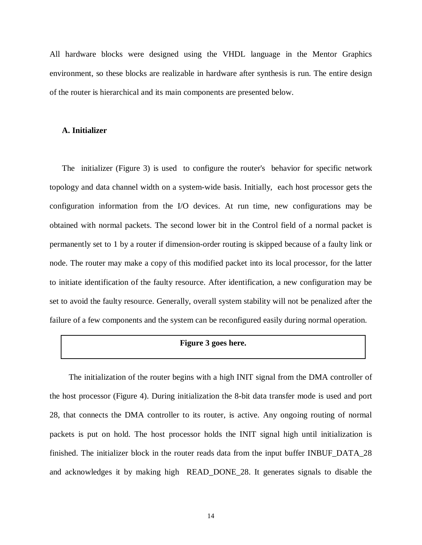All hardware blocks were designed using the VHDL language in the Mentor Graphics environment, so these blocks are realizable in hardware after synthesis is run. The entire design of the router is hierarchical and its main components are presented below.

#### **A. Initializer**

The initializer (Figure 3) is used to configure the router's behavior for specific network topology and data channel width on a system-wide basis. Initially, each host processor gets the configuration information from the I/O devices. At run time, new configurations may be obtained with normal packets. The second lower bit in the Control field of a normal packet is permanently set to 1 by a router if dimension-order routing is skipped because of a faulty link or node. The router may make a copy of this modified packet into its local processor, for the latter to initiate identification of the faulty resource. After identification, a new configuration may be set to avoid the faulty resource. Generally, overall system stability will not be penalized after the failure of a few components and the system can be reconfigured easily during normal operation.

#### **Figure 3 goes here.**

The initialization of the router begins with a high INIT signal from the DMA controller of the host processor (Figure 4). During initialization the 8-bit data transfer mode is used and port 28, that connects the DMA controller to its router, is active. Any ongoing routing of normal packets is put on hold. The host processor holds the INIT signal high until initialization is finished. The initializer block in the router reads data from the input buffer INBUF\_DATA\_28 and acknowledges it by making high READ\_DONE\_28. It generates signals to disable the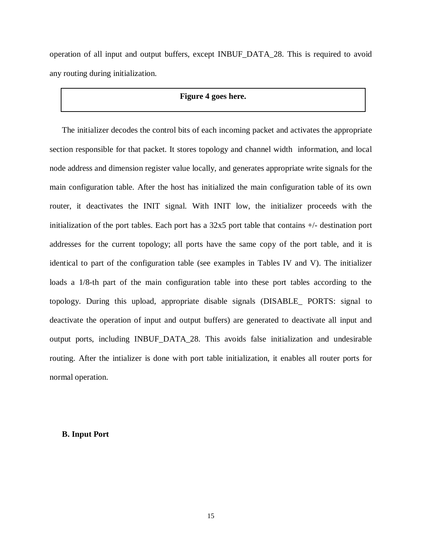operation of all input and output buffers, except INBUF\_DATA\_28. This is required to avoid any routing during initialization.

#### **Figure 4 goes here.**

The initializer decodes the control bits of each incoming packet and activates the appropriate section responsible for that packet. It stores topology and channel width information, and local node address and dimension register value locally, and generates appropriate write signals for the main configuration table. After the host has initialized the main configuration table of its own router, it deactivates the INIT signal. With INIT low, the initializer proceeds with the initialization of the port tables. Each port has a 32x5 port table that contains +/- destination port addresses for the current topology; all ports have the same copy of the port table, and it is identical to part of the configuration table (see examples in Tables IV and V). The initializer loads a 1/8-th part of the main configuration table into these port tables according to the topology. During this upload, appropriate disable signals (DISABLE\_ PORTS: signal to deactivate the operation of input and output buffers) are generated to deactivate all input and output ports, including INBUF\_DATA\_28. This avoids false initialization and undesirable routing. After the intializer is done with port table initialization, it enables all router ports for normal operation.

#### **B. Input Port**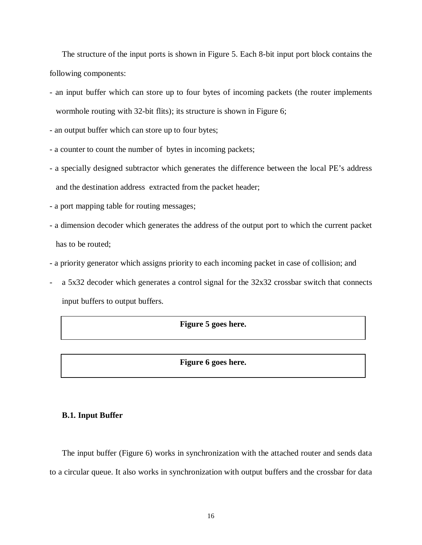The structure of the input ports is shown in Figure 5. Each 8-bit input port block contains the following components:

- an input buffer which can store up to four bytes of incoming packets (the router implements wormhole routing with 32-bit flits); its structure is shown in Figure 6;

- an output buffer which can store up to four bytes;

- a counter to count the number of bytes in incoming packets;

- a specially designed subtractor which generates the difference between the local PE's address and the destination address extracted from the packet header;
- a port mapping table for routing messages;
- a dimension decoder which generates the address of the output port to which the current packet has to be routed;
- a priority generator which assigns priority to each incoming packet in case of collision; and
- a 5x32 decoder which generates a control signal for the 32x32 crossbar switch that connects input buffers to output buffers.

# **Figure 5 goes here.**

**Figure 6 goes here.**

#### **B.1. Input Buffer**

The input buffer (Figure 6) works in synchronization with the attached router and sends data to a circular queue. It also works in synchronization with output buffers and the crossbar for data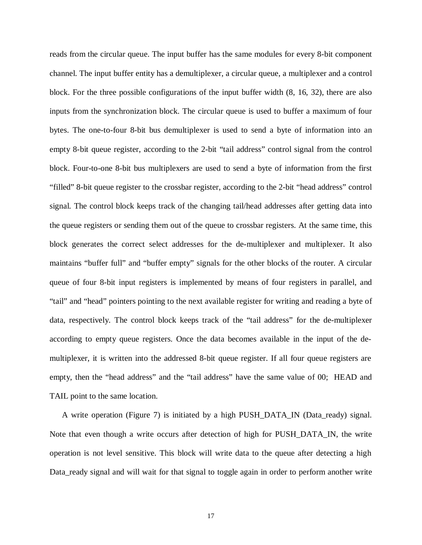reads from the circular queue. The input buffer has the same modules for every 8-bit component channel. The input buffer entity has a demultiplexer, a circular queue, a multiplexer and a control block. For the three possible configurations of the input buffer width (8, 16, 32), there are also inputs from the synchronization block. The circular queue is used to buffer a maximum of four bytes. The one-to-four 8-bit bus demultiplexer is used to send a byte of information into an empty 8-bit queue register, according to the 2-bit "tail address" control signal from the control block. Four-to-one 8-bit bus multiplexers are used to send a byte of information from the first "filled" 8-bit queue register to the crossbar register, according to the 2-bit "head address" control signal. The control block keeps track of the changing tail/head addresses after getting data into the queue registers or sending them out of the queue to crossbar registers. At the same time, this block generates the correct select addresses for the de-multiplexer and multiplexer. It also maintains "buffer full" and "buffer empty" signals for the other blocks of the router. A circular queue of four 8-bit input registers is implemented by means of four registers in parallel, and "tail" and "head" pointers pointing to the next available register for writing and reading a byte of data, respectively. The control block keeps track of the "tail address" for the de-multiplexer according to empty queue registers. Once the data becomes available in the input of the demultiplexer, it is written into the addressed 8-bit queue register. If all four queue registers are empty, then the "head address" and the "tail address" have the same value of 00; HEAD and TAIL point to the same location.

A write operation (Figure 7) is initiated by a high PUSH\_DATA\_IN (Data\_ready) signal. Note that even though a write occurs after detection of high for PUSH\_DATA\_IN, the write operation is not level sensitive. This block will write data to the queue after detecting a high Data\_ready signal and will wait for that signal to toggle again in order to perform another write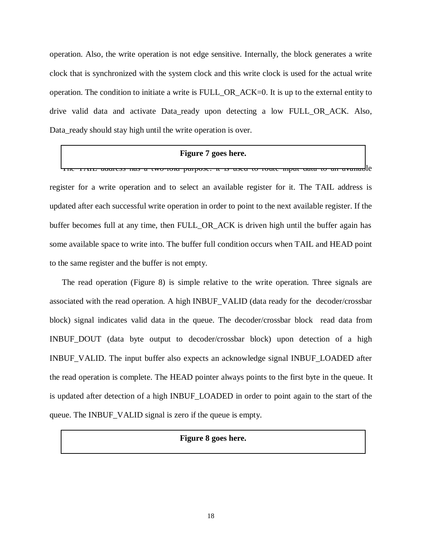operation. Also, the write operation is not edge sensitive. Internally, the block generates a write clock that is synchronized with the system clock and this write clock is used for the actual write operation. The condition to initiate a write is FULL\_OR\_ACK=0. It is up to the external entity to drive valid data and activate Data\_ready upon detecting a low FULL\_OR\_ACK. Also, Data\_ready should stay high until the write operation is over.

#### **Figure 7 goes here.**

The TAIL address has a two-fold purpose: it is used to route input data to an available register for a write operation and to select an available register for it. The TAIL address is updated after each successful write operation in order to point to the next available register. If the buffer becomes full at any time, then FULL\_OR\_ACK is driven high until the buffer again has some available space to write into. The buffer full condition occurs when TAIL and HEAD point to the same register and the buffer is not empty.

The read operation (Figure 8) is simple relative to the write operation. Three signals are associated with the read operation. A high INBUF\_VALID (data ready for the decoder/crossbar block) signal indicates valid data in the queue. The decoder/crossbar block read data from INBUF\_DOUT (data byte output to decoder/crossbar block) upon detection of a high INBUF\_VALID. The input buffer also expects an acknowledge signal INBUF\_LOADED after the read operation is complete. The HEAD pointer always points to the first byte in the queue. It is updated after detection of a high INBUF\_LOADED in order to point again to the start of the queue. The INBUF\_VALID signal is zero if the queue is empty.

#### **Figure 8 goes here.**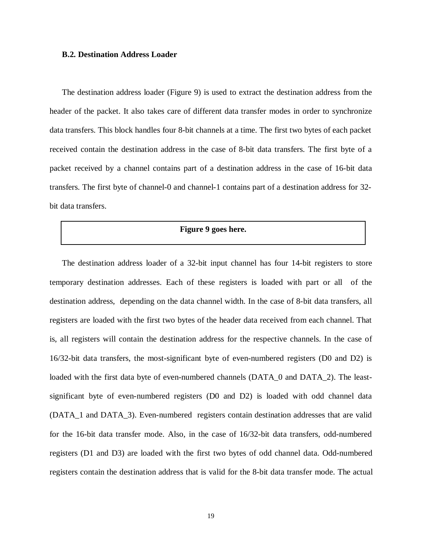#### **B.2. Destination Address Loader**

The destination address loader (Figure 9) is used to extract the destination address from the header of the packet. It also takes care of different data transfer modes in order to synchronize data transfers. This block handles four 8-bit channels at a time. The first two bytes of each packet received contain the destination address in the case of 8-bit data transfers. The first byte of a packet received by a channel contains part of a destination address in the case of 16-bit data transfers. The first byte of channel-0 and channel-1 contains part of a destination address for 32 bit data transfers.

# **Figure 9 goes here.**

The destination address loader of a 32-bit input channel has four 14-bit registers to store temporary destination addresses. Each of these registers is loaded with part or all of the destination address, depending on the data channel width. In the case of 8-bit data transfers, all registers are loaded with the first two bytes of the header data received from each channel. That is, all registers will contain the destination address for the respective channels. In the case of 16/32-bit data transfers, the most-significant byte of even-numbered registers (D0 and D2) is loaded with the first data byte of even-numbered channels (DATA\_0 and DATA\_2). The leastsignificant byte of even-numbered registers (D0 and D2) is loaded with odd channel data (DATA\_1 and DATA\_3). Even-numbered registers contain destination addresses that are valid for the 16-bit data transfer mode. Also, in the case of 16/32-bit data transfers, odd-numbered registers (D1 and D3) are loaded with the first two bytes of odd channel data. Odd-numbered registers contain the destination address that is valid for the 8-bit data transfer mode. The actual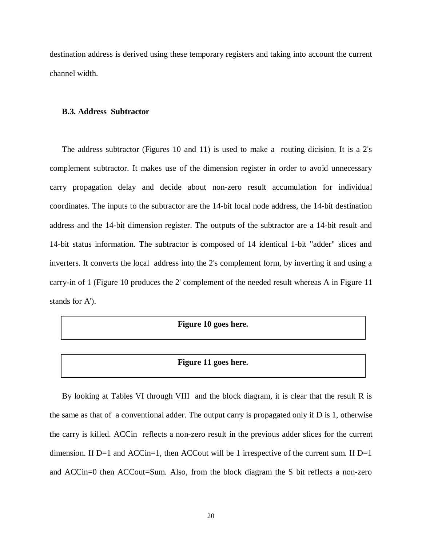destination address is derived using these temporary registers and taking into account the current channel width.

#### **B.3. Address Subtractor**

The address subtractor (Figures 10 and 11) is used to make a routing dicision. It is a 2's complement subtractor. It makes use of the dimension register in order to avoid unnecessary carry propagation delay and decide about non-zero result accumulation for individual coordinates. The inputs to the subtractor are the 14-bit local node address, the 14-bit destination address and the 14-bit dimension register. The outputs of the subtractor are a 14-bit result and 14-bit status information. The subtractor is composed of 14 identical 1-bit "adder" slices and inverters. It converts the local address into the 2's complement form, by inverting it and using a carry-in of 1 (Figure 10 produces the 2' complement of the needed result whereas A in Figure 11 stands for A').

#### **Figure 10 goes here.**

#### **Figure 11 goes here.**

By looking at Tables VI through VIII and the block diagram, it is clear that the result R is the same as that of a conventional adder. The output carry is propagated only if D is 1, otherwise the carry is killed. ACCin reflects a non-zero result in the previous adder slices for the current dimension. If  $D=1$  and  $ACC$ in=1, then  $ACC$  out will be 1 irrespective of the current sum. If  $D=1$ and ACCin=0 then ACCout=Sum. Also, from the block diagram the S bit reflects a non-zero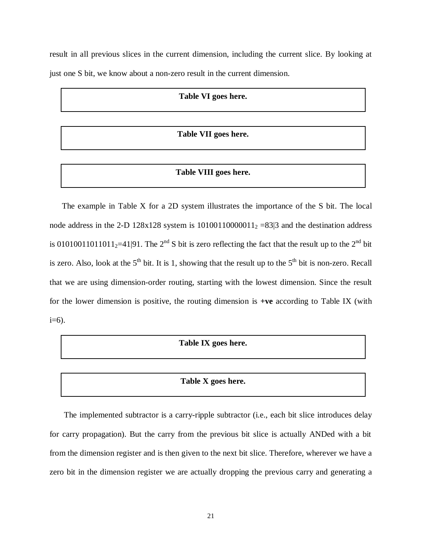result in all previous slices in the current dimension, including the current slice. By looking at just one S bit, we know about a non-zero result in the current dimension.

# **Table VI goes here.**

# **Table VII goes here.**

# **Table VIII goes here.**

The example in Table X for a 2D system illustrates the importance of the S bit. The local node address in the 2-D 128x128 system is  $10100110000011<sub>2</sub> = 83/3$  and the destination address is 01010011011011<sub>2</sub>=41|91. The 2<sup>nd</sup> S bit is zero reflecting the fact that the result up to the 2<sup>nd</sup> bit is zero. Also, look at the  $5<sup>th</sup>$  bit. It is 1, showing that the result up to the  $5<sup>th</sup>$  bit is non-zero. Recall that we are using dimension-order routing, starting with the lowest dimension. Since the result for the lower dimension is positive, the routing dimension is **+ve** according to Table IX (with  $i=6$ ).

#### **Table IX goes here.**

# **Table X goes here.**

The implemented subtractor is a carry-ripple subtractor (i.e., each bit slice introduces delay for carry propagation). But the carry from the previous bit slice is actually ANDed with a bit from the dimension register and is then given to the next bit slice. Therefore, wherever we have a zero bit in the dimension register we are actually dropping the previous carry and generating a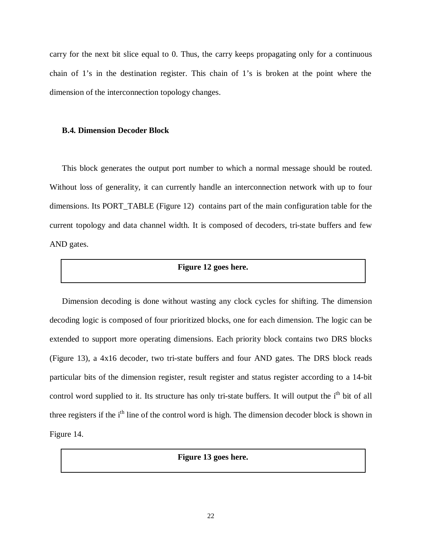carry for the next bit slice equal to 0. Thus, the carry keeps propagating only for a continuous chain of 1's in the destination register. This chain of 1's is broken at the point where the dimension of the interconnection topology changes.

#### **B.4. Dimension Decoder Block**

This block generates the output port number to which a normal message should be routed. Without loss of generality, it can currently handle an interconnection network with up to four dimensions. Its PORT\_TABLE (Figure 12) contains part of the main configuration table for the current topology and data channel width. It is composed of decoders, tri-state buffers and few AND gates.

# **Figure 12 goes here.**

Dimension decoding is done without wasting any clock cycles for shifting. The dimension decoding logic is composed of four prioritized blocks, one for each dimension. The logic can be extended to support more operating dimensions. Each priority block contains two DRS blocks (Figure 13), a 4x16 decoder, two tri-state buffers and four AND gates. The DRS block reads particular bits of the dimension register, result register and status register according to a 14-bit control word supplied to it. Its structure has only tri-state buffers. It will output the i<sup>th</sup> bit of all three registers if the i<sup>th</sup> line of the control word is high. The dimension decoder block is shown in Figure 14.

**Figure 13 goes here.**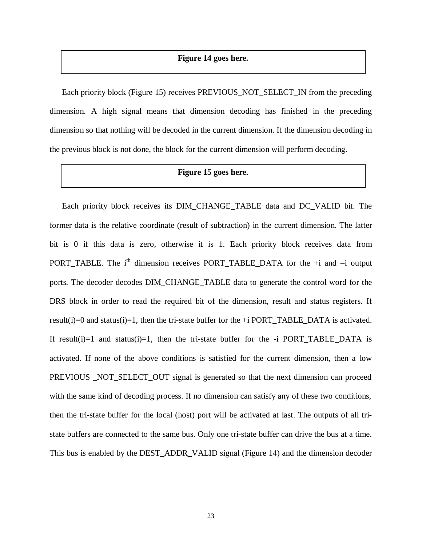# **Figure 14 goes here.**

Each priority block (Figure 15) receives PREVIOUS\_NOT\_SELECT\_IN from the preceding dimension. A high signal means that dimension decoding has finished in the preceding dimension so that nothing will be decoded in the current dimension. If the dimension decoding in the previous block is not done, the block for the current dimension will perform decoding.

# **Figure 15 goes here.**

Each priority block receives its DIM\_CHANGE\_TABLE data and DC\_VALID bit. The former data is the relative coordinate (result of subtraction) in the current dimension. The latter bit is 0 if this data is zero, otherwise it is 1. Each priority block receives data from PORT TABLE. The i<sup>th</sup> dimension receives PORT TABLE DATA for the  $+i$  and  $-i$  output ports. The decoder decodes DIM\_CHANGE\_TABLE data to generate the control word for the DRS block in order to read the required bit of the dimension, result and status registers. If result(i)=0 and status(i)=1, then the tri-state buffer for the  $+i$  PORT\_TABLE\_DATA is activated. If result(i)=1 and status(i)=1, then the tri-state buffer for the  $-i$  PORT\_TABLE\_DATA is activated. If none of the above conditions is satisfied for the current dimension, then a low PREVIOUS NOT SELECT OUT signal is generated so that the next dimension can proceed with the same kind of decoding process. If no dimension can satisfy any of these two conditions, then the tri-state buffer for the local (host) port will be activated at last. The outputs of all tristate buffers are connected to the same bus. Only one tri-state buffer can drive the bus at a time. This bus is enabled by the DEST\_ADDR\_VALID signal (Figure 14) and the dimension decoder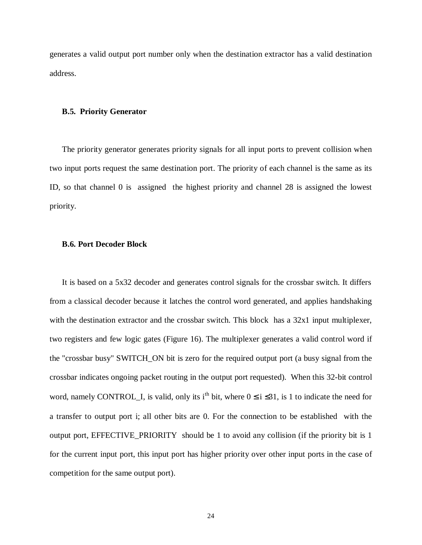generates a valid output port number only when the destination extractor has a valid destination address.

#### **B.5. Priority Generator**

The priority generator generates priority signals for all input ports to prevent collision when two input ports request the same destination port. The priority of each channel is the same as its ID, so that channel 0 is assigned the highest priority and channel 28 is assigned the lowest priority.

#### **B.6. Port Decoder Block**

It is based on a 5x32 decoder and generates control signals for the crossbar switch. It differs from a classical decoder because it latches the control word generated, and applies handshaking with the destination extractor and the crossbar switch. This block has a 32x1 input multiplexer, two registers and few logic gates (Figure 16). The multiplexer generates a valid control word if the "crossbar busy" SWITCH\_ON bit is zero for the required output port (a busy signal from the crossbar indicates ongoing packet routing in the output port requested). When this 32-bit control word, namely CONTROL\_I, is valid, only its i<sup>th</sup> bit, where  $0 \le i \le 31$ , is 1 to indicate the need for a transfer to output port i; all other bits are 0. For the connection to be established with the output port, EFFECTIVE\_PRIORITY should be 1 to avoid any collision (if the priority bit is 1 for the current input port, this input port has higher priority over other input ports in the case of competition for the same output port).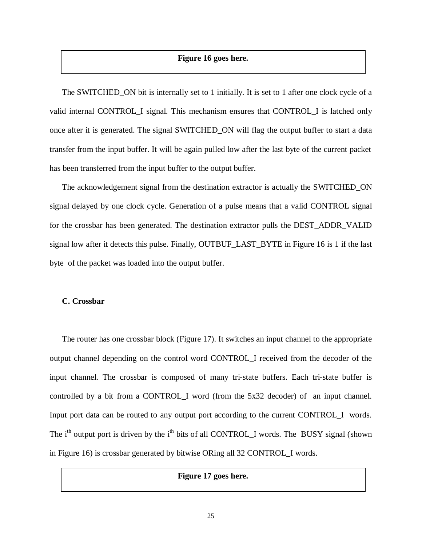# **Figure 16 goes here.**

The SWITCHED ON bit is internally set to 1 initially. It is set to 1 after one clock cycle of a valid internal CONTROL\_I signal. This mechanism ensures that CONTROL\_I is latched only once after it is generated. The signal SWITCHED\_ON will flag the output buffer to start a data transfer from the input buffer. It will be again pulled low after the last byte of the current packet has been transferred from the input buffer to the output buffer.

The acknowledgement signal from the destination extractor is actually the SWITCHED\_ON signal delayed by one clock cycle. Generation of a pulse means that a valid CONTROL signal for the crossbar has been generated. The destination extractor pulls the DEST\_ADDR\_VALID signal low after it detects this pulse. Finally, OUTBUF\_LAST\_BYTE in Figure 16 is 1 if the last byte of the packet was loaded into the output buffer.

#### **C. Crossbar**

The router has one crossbar block (Figure 17). It switches an input channel to the appropriate output channel depending on the control word CONTROL\_I received from the decoder of the input channel. The crossbar is composed of many tri-state buffers. Each tri-state buffer is controlled by a bit from a CONTROL\_I word (from the 5x32 decoder) of an input channel. Input port data can be routed to any output port according to the current CONTROL\_I words. The  $i<sup>th</sup>$  output port is driven by the  $i<sup>th</sup>$  bits of all CONTROL I words. The BUSY signal (shown in Figure 16) is crossbar generated by bitwise ORing all 32 CONTROL\_I words.

# **Figure 17 goes here.**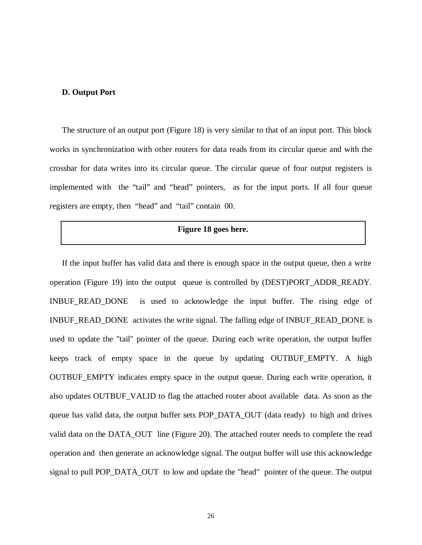#### **D. Output Port**

The structure of an output port (Figure 18) is very similar to that of an input port. This block works in synchronization with other routers for data reads from its circular queue and with the crossbar for data writes into its circular queue. The circular queue of four output registers is implemented with the "tail" and "head" pointers, as for the input ports. If all four queue registers are empty, then "head" and "tail" contain 00.

# **Figure 18 goes here.**

If the input buffer has valid data and there is enough space in the output queue, then a write operation (Figure 19) into the output queue is controlled by (DEST)PORT\_ADDR\_READY. INBUF READ DONE is used to acknowledge the input buffer. The rising edge of INBUF\_READ\_DONE activates the write signal. The falling edge of INBUF\_READ\_DONE is used to update the "tail" pointer of the queue. During each write operation, the output buffer keeps track of empty space in the queue by updating OUTBUF\_EMPTY. A high OUTBUF\_EMPTY indicates empty space in the output queue. During each write operation, it also updates OUTBUF\_VALID to flag the attached router about available data. As soon as the queue has valid data, the output buffer sets POP\_DATA\_OUT (data ready) to high and drives valid data on the DATA\_OUT line (Figure 20). The attached router needs to complete the read operation and then generate an acknowledge signal. The output buffer will use this acknowledge signal to pull POP\_DATA\_OUT to low and update the "head" pointer of the queue. The output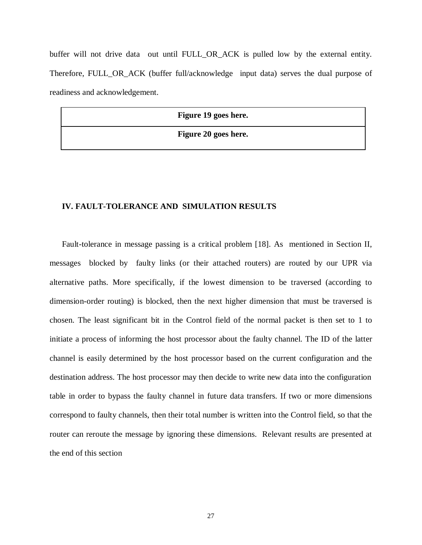buffer will not drive data out until FULL OR ACK is pulled low by the external entity. Therefore, FULL\_OR\_ACK (buffer full/acknowledge input data) serves the dual purpose of readiness and acknowledgement.

**Figure 19 goes here.**

**Figure 20 goes here.**

# **IV. FAULT-TOLERANCE AND SIMULATION RESULTS**

Fault-tolerance in message passing is a critical problem [18]. As mentioned in Section II, messages blocked by faulty links (or their attached routers) are routed by our UPR via alternative paths. More specifically, if the lowest dimension to be traversed (according to dimension-order routing) is blocked, then the next higher dimension that must be traversed is chosen. The least significant bit in the Control field of the normal packet is then set to 1 to initiate a process of informing the host processor about the faulty channel. The ID of the latter channel is easily determined by the host processor based on the current configuration and the destination address. The host processor may then decide to write new data into the configuration table in order to bypass the faulty channel in future data transfers. If two or more dimensions correspond to faulty channels, then their total number is written into the Control field, so that the router can reroute the message by ignoring these dimensions. Relevant results are presented at the end of this section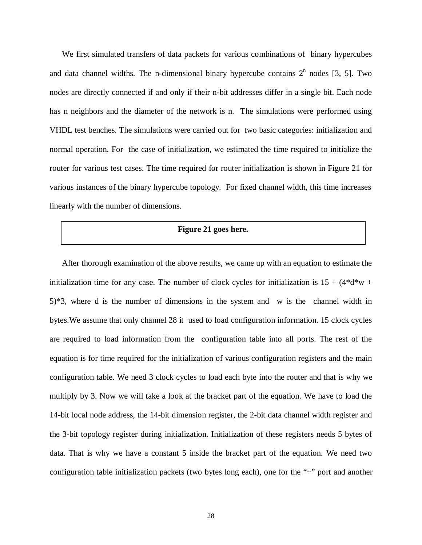We first simulated transfers of data packets for various combinations of binary hypercubes and data channel widths. The n-dimensional binary hypercube contains  $2<sup>n</sup>$  nodes [3, 5]. Two nodes are directly connected if and only if their n-bit addresses differ in a single bit. Each node has n neighbors and the diameter of the network is n. The simulations were performed using VHDL test benches. The simulations were carried out for two basic categories: initialization and normal operation. For the case of initialization, we estimated the time required to initialize the router for various test cases. The time required for router initialization is shown in Figure 21 for various instances of the binary hypercube topology. For fixed channel width, this time increases linearly with the number of dimensions.

# **Figure 21 goes here.**

After thorough examination of the above results, we came up with an equation to estimate the initialization time for any case. The number of clock cycles for initialization is  $15 + (4*d*w +$ 5)\*3, where d is the number of dimensions in the system and w is the channel width in bytes.We assume that only channel 28 it used to load configuration information. 15 clock cycles are required to load information from the configuration table into all ports. The rest of the equation is for time required for the initialization of various configuration registers and the main configuration table. We need 3 clock cycles to load each byte into the router and that is why we multiply by 3. Now we will take a look at the bracket part of the equation. We have to load the 14-bit local node address, the 14-bit dimension register, the 2-bit data channel width register and the 3-bit topology register during initialization. Initialization of these registers needs 5 bytes of data. That is why we have a constant 5 inside the bracket part of the equation. We need two configuration table initialization packets (two bytes long each), one for the "+" port and another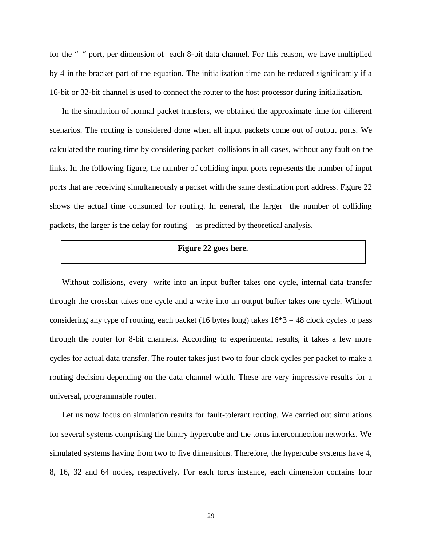for the "–" port, per dimension of each 8-bit data channel. For this reason, we have multiplied by 4 in the bracket part of the equation. The initialization time can be reduced significantly if a 16-bit or 32-bit channel is used to connect the router to the host processor during initialization.

In the simulation of normal packet transfers, we obtained the approximate time for different scenarios. The routing is considered done when all input packets come out of output ports. We calculated the routing time by considering packet collisions in all cases, without any fault on the links. In the following figure, the number of colliding input ports represents the number of input ports that are receiving simultaneously a packet with the same destination port address. Figure 22 shows the actual time consumed for routing. In general, the larger the number of colliding packets, the larger is the delay for routing – as predicted by theoretical analysis.

# **Figure 22 goes here.**

Without collisions, every write into an input buffer takes one cycle, internal data transfer through the crossbar takes one cycle and a write into an output buffer takes one cycle. Without considering any type of routing, each packet (16 bytes long) takes  $16*3 = 48$  clock cycles to pass through the router for 8-bit channels. According to experimental results, it takes a few more cycles for actual data transfer. The router takes just two to four clock cycles per packet to make a routing decision depending on the data channel width. These are very impressive results for a universal, programmable router.

Let us now focus on simulation results for fault-tolerant routing. We carried out simulations for several systems comprising the binary hypercube and the torus interconnection networks. We simulated systems having from two to five dimensions. Therefore, the hypercube systems have 4, 8, 16, 32 and 64 nodes, respectively. For each torus instance, each dimension contains four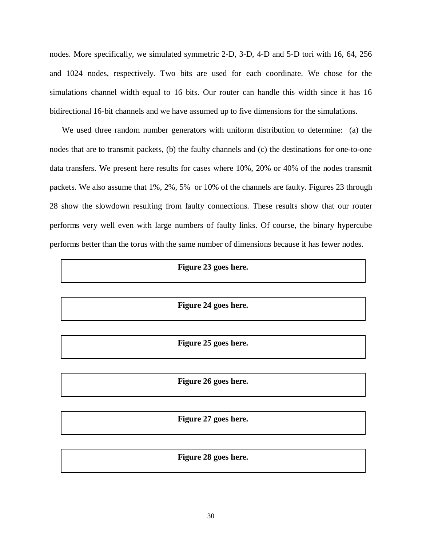nodes. More specifically, we simulated symmetric 2-D, 3-D, 4-D and 5-D tori with 16, 64, 256 and 1024 nodes, respectively. Two bits are used for each coordinate. We chose for the simulations channel width equal to 16 bits. Our router can handle this width since it has 16 bidirectional 16-bit channels and we have assumed up to five dimensions for the simulations.

We used three random number generators with uniform distribution to determine: (a) the nodes that are to transmit packets, (b) the faulty channels and (c) the destinations for one-to-one data transfers. We present here results for cases where 10%, 20% or 40% of the nodes transmit packets. We also assume that 1%, 2%, 5% or 10% of the channels are faulty. Figures 23 through 28 show the slowdown resulting from faulty connections. These results show that our router performs very well even with large numbers of faulty links. Of course, the binary hypercube performs better than the torus with the same number of dimensions because it has fewer nodes.

# **Figure 23 goes here.**

#### **Figure 24 goes here.**

**Figure 25 goes here.**

**Figure 26 goes here.**

**Figure 27 goes here.**

#### **Figure 28 goes here.**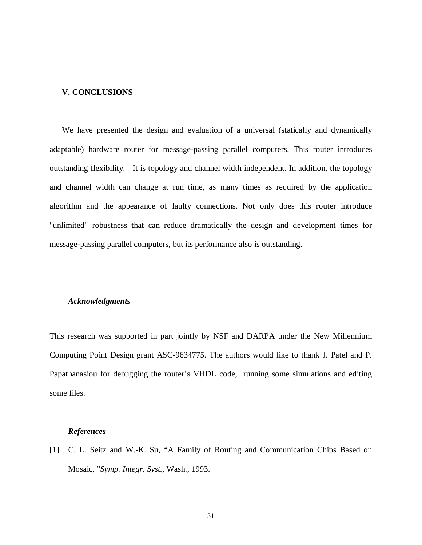# **V. CONCLUSIONS**

We have presented the design and evaluation of a universal (statically and dynamically adaptable) hardware router for message-passing parallel computers. This router introduces outstanding flexibility. It is topology and channel width independent. In addition, the topology and channel width can change at run time, as many times as required by the application algorithm and the appearance of faulty connections. Not only does this router introduce "unlimited" robustness that can reduce dramatically the design and development times for message-passing parallel computers, but its performance also is outstanding.

#### *Acknowledgments*

This research was supported in part jointly by NSF and DARPA under the New Millennium Computing Point Design grant ASC-9634775. The authors would like to thank J. Patel and P. Papathanasiou for debugging the router's VHDL code, running some simulations and editing some files.

#### *References*

[1] C. L. Seitz and W.-K. Su, "A Family of Routing and Communication Chips Based on Mosaic, "*Symp. Integr. Syst.*, Wash., 1993.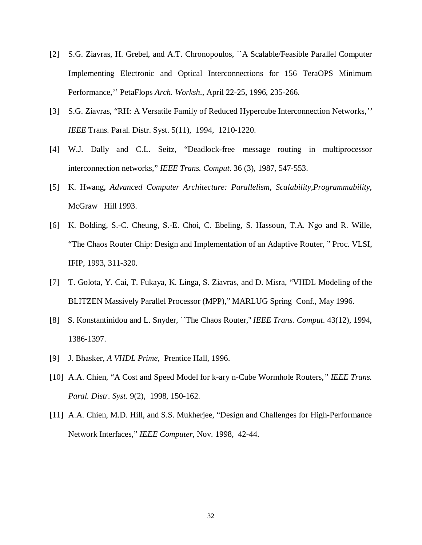- [2] S.G. Ziavras, H. Grebel, and A.T. Chronopoulos, ``A Scalable/Feasible Parallel Computer Implementing Electronic and Optical Interconnections for 156 TeraOPS Minimum Performance,'' PetaFlops *Arch. Worksh*., April 22-25, 1996, 235-266.
- [3] S.G. Ziavras, "RH: A Versatile Family of Reduced Hypercube Interconnection Networks,*'' IEEE* Trans. Paral. Distr. Syst. 5(11), 1994, 1210-1220.
- [4] W.J. Dally and C.L. Seitz, "Deadlock-free message routing in multiprocessor interconnection networks," *IEEE Trans. Comput*. 36 (3), 1987, 547-553.
- [5] K. Hwang, *Advanced Computer Architecture: Parallelism, Scalability,Programmability*, McGraw Hill 1993.
- [6] K. Bolding, S.-C. Cheung, S.-E. Choi, C. Ebeling, S. Hassoun, T.A. Ngo and R. Wille, "The Chaos Router Chip: Design and Implementation of an Adaptive Router, " Proc. VLSI, IFIP, 1993, 311-320.
- [7] T. Golota, Y. Cai, T. Fukaya, K. Linga, S. Ziavras, and D. Misra, "VHDL Modeling of the BLITZEN Massively Parallel Processor (MPP)," MARLUG Spring Conf., May 1996.
- [8] S. Konstantinidou and L. Snyder, ``The Chaos Router,'' *IEEE Trans. Comput*. 43(12), 1994, 1386-1397.
- [9] J. Bhasker, *A VHDL Prime*, Prentice Hall, 1996.
- [10] A.A. Chien, "A Cost and Speed Model for k-ary n-Cube Wormhole Routers*," IEEE Trans. Paral. Distr. Syst*. 9(2), 1998, 150-162.
- [11] A.A. Chien, M.D. Hill, and S.S. Mukherjee, "Design and Challenges for High-Performance Network Interfaces," *IEEE Computer*, Nov. 1998, 42-44.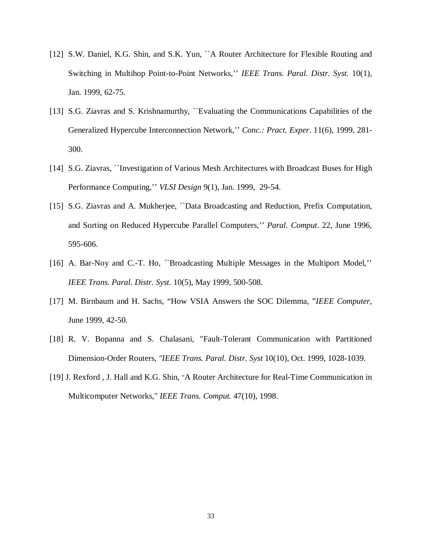- [12] S.W. Daniel, K.G. Shin, and S.K. Yun, "A Router Architecture for Flexible Routing and Switching in Multihop Point-to-Point Networks,'' *IEEE Trans. Paral. Distr. Syst.* 10(1), Jan. 1999, 62-75.
- [13] S.G. Ziavras and S. Krishnamurthy, "Evaluating the Communications Capabilities of the Generalized Hypercube Interconnection Network,'' *Conc.: Pract. Exper*. 11(6), 1999, 281- 300.
- [14] S.G. Ziavras, ``Investigation of Various Mesh Architectures with Broadcast Buses for High Performance Computing,'' *VLSI Design* 9(1), Jan. 1999, 29-54.
- [15] S.G. Ziavras and A. Mukherjee, "Data Broadcasting and Reduction, Prefix Computation, and Sorting on Reduced Hypercube Parallel Computers,'' *Paral. Comput*. 22, June 1996, 595-606.
- [16] A. Bar-Noy and C.-T. Ho, "Broadcasting Multiple Messages in the Multiport Model," *IEEE Trans. Paral. Distr. Syst*. 10(5), May 1999, 500-508.
- [17] M. Birnbaum and H. Sachs, "How VSIA Answers the SOC Dilemma, "*IEEE Computer*, June 1999, 42-50.
- [18] R. V. Bopanna and S. Chalasani, "Fault-Tolerant Communication with Partitioned Dimension-Order Routers, *"IEEE Trans. Paral. Distr. Syst* 10(10), Oct. 1999, 1028-1039.
- [19] J. Rexford , J. Hall and K.G. Shin, "A Router Architecture for Real-Time Communication in Multicomputer Networks," *IEEE Trans. Comput.* 47(10), 1998.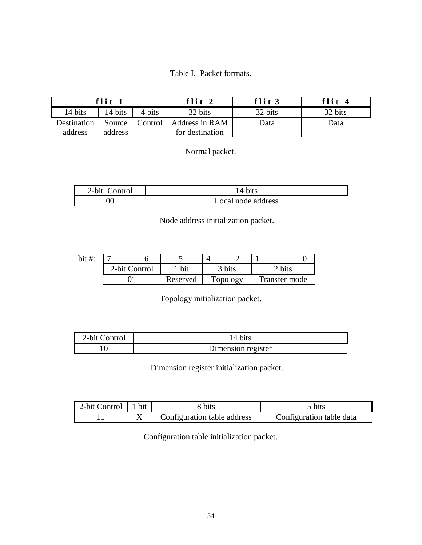Table I. Packet formats.

|             | flit 1  |         | flit $2$        | flit $3$ | flit $4$ |
|-------------|---------|---------|-----------------|----------|----------|
| 14 bits     | 14 bits | 4 bits  | 32 bits         | 32 bits  | 32 bits  |
| Destination | Source  | Control | Address in RAM  | Data     | Data     |
| address     | address |         | for destination |          |          |

Normal packet.

| 2-bit Control | 14 bits            |
|---------------|--------------------|
|               | Local node address |

Node address initialization packet.

| bit $#$ : |               |          |          |               |
|-----------|---------------|----------|----------|---------------|
|           | 2-bit Control |          | 3 bits   |               |
|           |               | Reserved | Topology | Transfer mode |

Topology initialization packet.

| 2-bit Control | 14 bits            |
|---------------|--------------------|
|               | Dimension register |

Dimension register initialization packet.

| 2-bit Control   1 bit | ; bits                      | 5 bits                   |
|-----------------------|-----------------------------|--------------------------|
|                       | Configuration table address | Configuration table data |

Configuration table initialization packet.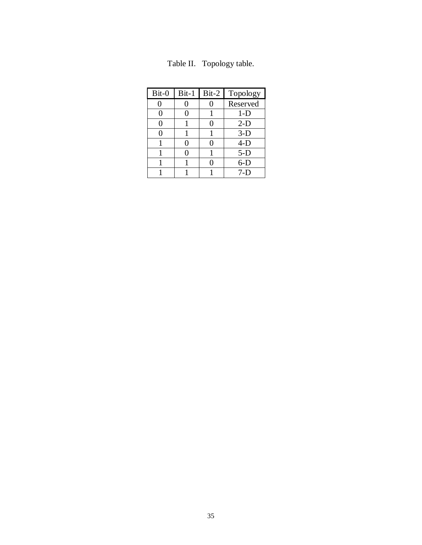| Bit-0 | $Bit-1$ | $Bit-2$ | Topology |
|-------|---------|---------|----------|
|       |         |         | Reserved |
|       |         |         | $1-D$    |
|       |         | 0       | $2-D$    |
|       |         |         | $3-D$    |
|       |         |         | $4-D$    |
|       |         |         | $5-D$    |
|       |         |         | $6-D$    |
|       |         |         | 7-D      |

Table II. Topology table.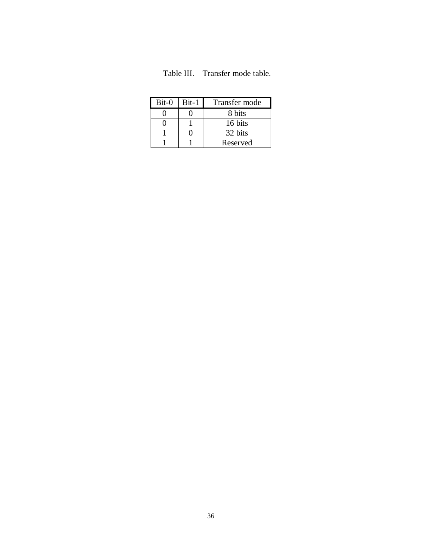| Table III. | Transfer mode table. |  |  |
|------------|----------------------|--|--|
|------------|----------------------|--|--|

| $Bit-0$ | $Bit-1$ | Transfer mode |
|---------|---------|---------------|
|         |         | 8 bits        |
|         |         | 16 bits       |
|         |         | 32 bits       |
|         |         | Reserved      |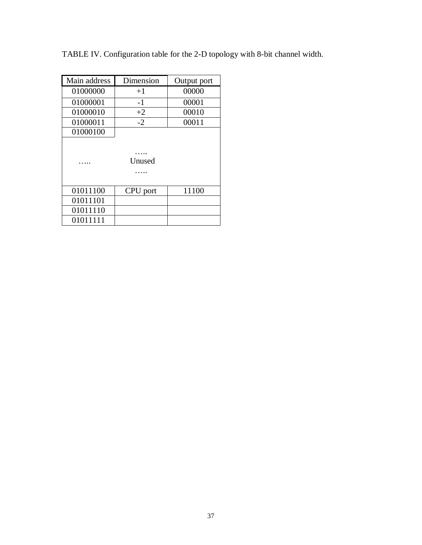|  |  | TABLE IV. Configuration table for the 2-D topology with 8-bit channel width. |
|--|--|------------------------------------------------------------------------------|
|  |  |                                                                              |

| Main address | Dimension | Output port |
|--------------|-----------|-------------|
| 01000000     | $+1$      | 00000       |
| 01000001     | $-1$      | 00001       |
| 01000010     | $+2$      | 00010       |
| 01000011     | $-2$      | 00011       |
| 01000100     |           |             |
|              | Unused    |             |
| 01011100     | CPU port  | 11100       |
| 01011101     |           |             |
| 01011110     |           |             |
| 01011111     |           |             |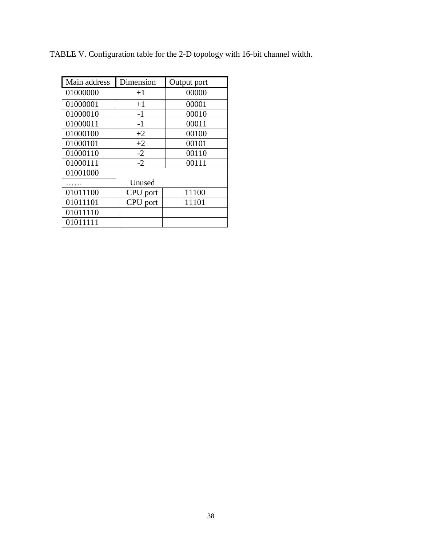| Main address | Dimension | Output port |
|--------------|-----------|-------------|
| 01000000     | $+1$      | 00000       |
| 01000001     | $+1$      | 00001       |
| 01000010     | $-1$      | 00010       |
| 01000011     | $-1$      | 00011       |
| 01000100     | $+2$      | 00100       |
| 01000101     | $+2$      | 00101       |
| 01000110     | $-2$      | 00110       |
| 01000111     | $-2$      | 00111       |
| 01001000     |           |             |
|              | Unused    |             |
| 01011100     | CPU port  | 11100       |
| 01011101     | CPU port  | 11101       |
| 01011110     |           |             |
| 01011111     |           |             |

TABLE V. Configuration table for the 2-D topology with 16-bit channel width.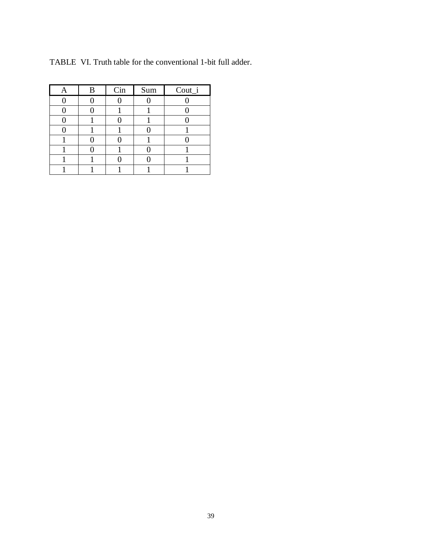| В | Cin | Sum | Cout_i |  |
|---|-----|-----|--------|--|
|   |     |     |        |  |
|   |     |     |        |  |
|   |     |     |        |  |
|   |     |     |        |  |
|   |     |     |        |  |
|   |     |     |        |  |
|   |     |     |        |  |
|   |     |     |        |  |

TABLE VI. Truth table for the conventional 1-bit full adder.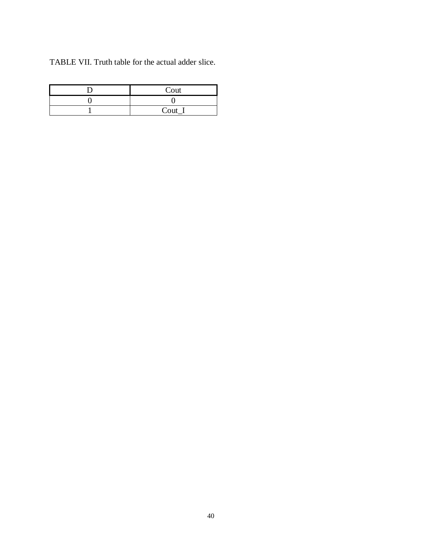TABLE VII. Truth table for the actual adder slice.

| Cout     |
|----------|
|          |
| $Cout_l$ |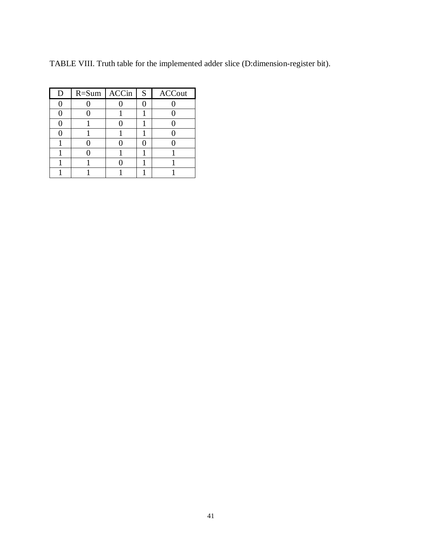TABLE VIII. Truth table for the implemented adder slice (D:dimension-register bit).

| D | $R = Sum \,   \, ACCin$ | S | <b>ACCout</b> |
|---|-------------------------|---|---------------|
|   |                         |   |               |
|   |                         |   |               |
|   |                         |   |               |
|   |                         |   |               |
|   |                         |   |               |
|   |                         |   |               |
|   |                         |   |               |
|   |                         |   |               |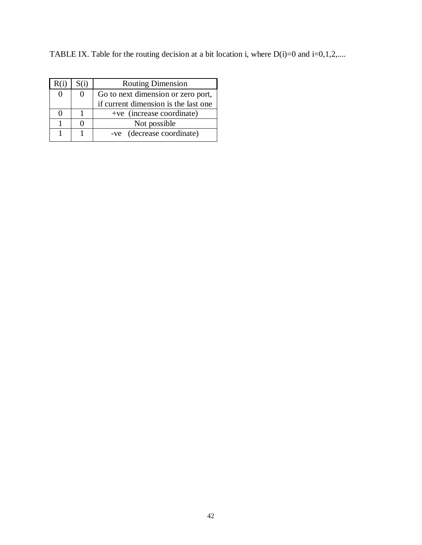TABLE IX. Table for the routing decision at a bit location i, where  $D(i)=0$  and  $i=0,1,2,...$ .

| S(i)     | <b>Routing Dimension</b>             |  |
|----------|--------------------------------------|--|
| $\theta$ | Go to next dimension or zero port,   |  |
|          | if current dimension is the last one |  |
|          | +ve (increase coordinate)            |  |
|          | Not possible                         |  |
|          | -ve (decrease coordinate)            |  |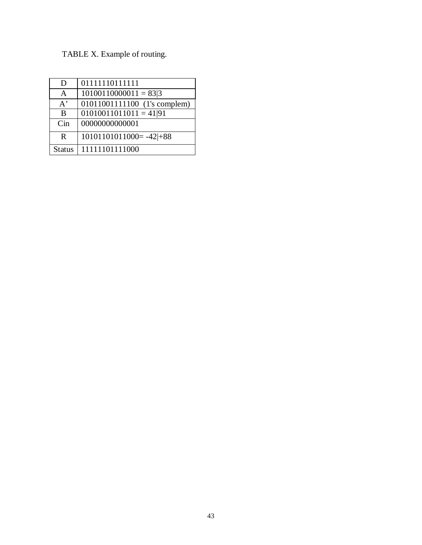# TABLE X. Example of routing.

| D             | 01111110111111               |
|---------------|------------------------------|
| A             | $10100110000011 = 83 3$      |
| $A^{\prime}$  | 01011001111100 (1's complem) |
| B             | $01010011011011 = 4191$      |
| Cin           | 00000000000001               |
| R             | $10101101011000 = -42+88$    |
| <b>Status</b> | 11111101111000               |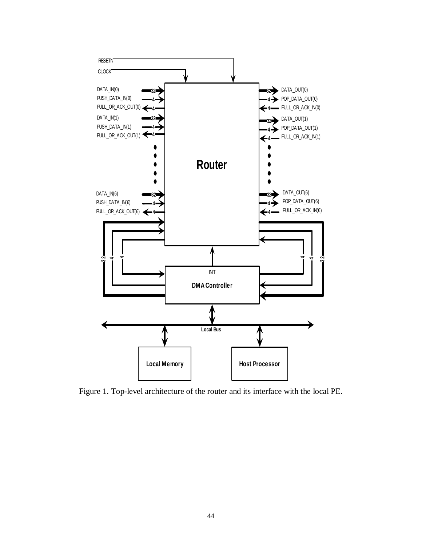

Figure 1. Top-level architecture of the router and its interface with the local PE.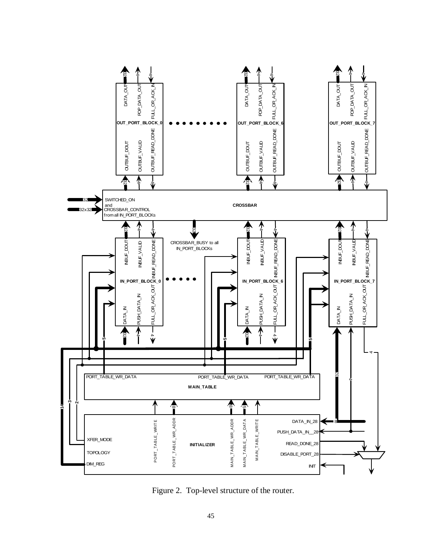

Figure 2. Top-level structure of the router.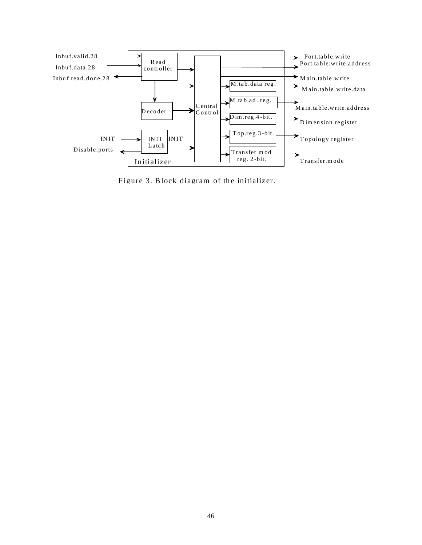

Figure 3. Block diagram of the initializer.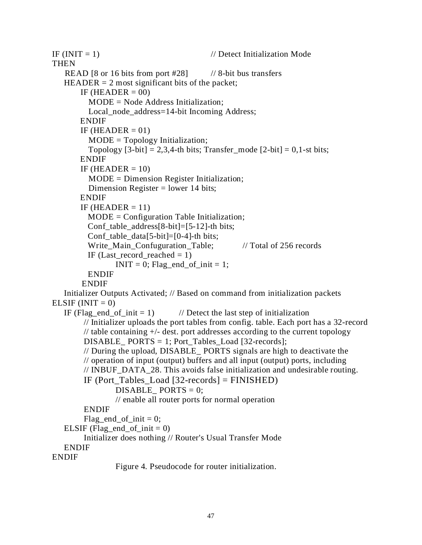IF  $(INIT = 1)$  // Detect Initialization Mode THEN READ  $[8 \text{ or } 16 \text{ bits from port } #28]$  // 8-bit bus transfers  $HEADER = 2$  most significant bits of the packet; IF (HEADER  $= 00$ ) MODE = Node Address Initialization; Local\_node\_address=14-bit Incoming Address; ENDIF IF (HEADER  $= 01$ ) MODE = Topology Initialization; Topology  $[3-bit] = 2,3,4-th bits$ ; Transfer mode  $[2-bit] = 0,1-st bits$ ; ENDIF IF (HEADER  $= 10$ ) MODE = Dimension Register Initialization; Dimension Register = lower 14 bits; ENDIF IF (HEADER  $= 11$ ) MODE = Configuration Table Initialization; Conf\_table\_address[8-bit]=[5-12]-th bits; Conf\_table\_data[5-bit]= $[0-4]$ -th bits; Write\_Main\_Confuguration\_Table; // Total of 256 records IF (Last record reached  $= 1$ ) INIT = 0; Flag end of init = 1; ENDIF ENDIF Initializer Outputs Activated; // Based on command from initialization packets ELSIF  $(INIT = 0)$ IF (Flag\_end\_of\_init = 1)  $\frac{1}{2}$  // Detect the last step of initialization // Initializer uploads the port tables from config. table. Each port has a 32-record // table containing  $+/-$  dest. port addresses according to the current topology DISABLE PORTS = 1; Port Tables Load  $[32$ -records]; // During the upload, DISABLE\_ PORTS signals are high to deactivate the // operation of input (output) buffers and all input (output) ports, including // INBUF\_DATA\_28. This avoids false initialization and undesirable routing. IF (Port Tables Load  $[32$ -records] = FINISHED) DISABLE  $PORTS = 0$ ; // enable all router ports for normal operation ENDIF Flag end of init  $= 0$ ; ELSIF (Flag end of init  $= 0$ ) Initializer does nothing // Router's Usual Transfer Mode ENDIF ENDIF

Figure 4. Pseudocode for router initialization.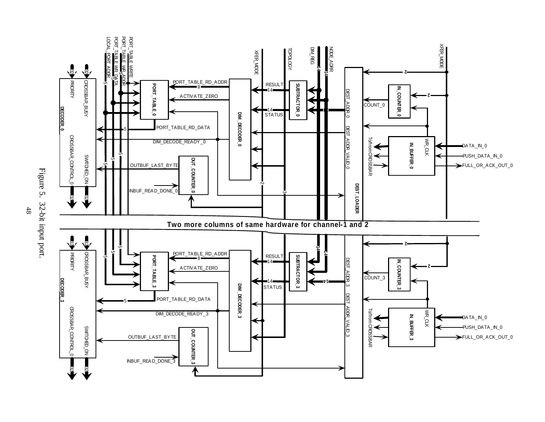



48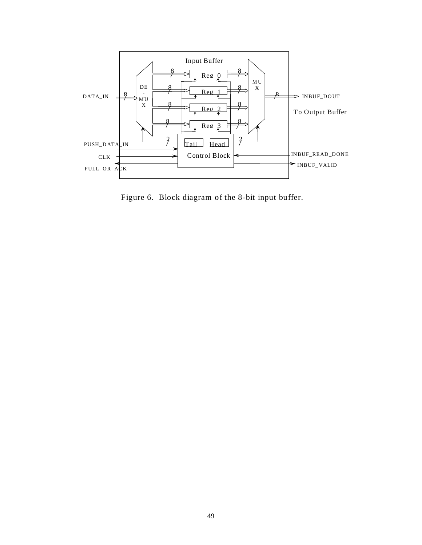

Figure 6. Block diagram of the 8-bit input buffer.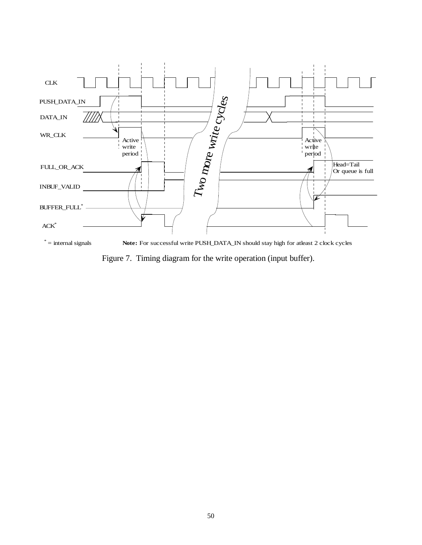

Figure 7. Timing diagram for the write operation (input buffer).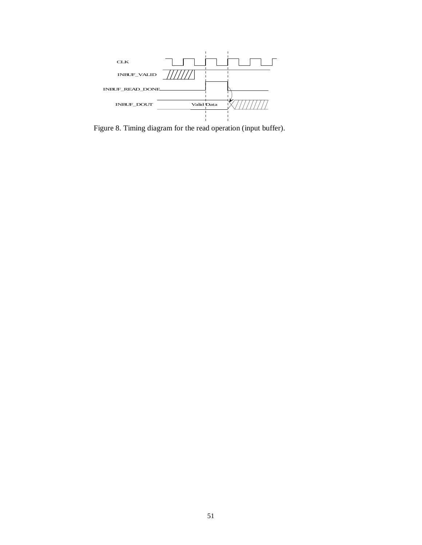

Figure 8. Timing diagram for the read operation (input buffer).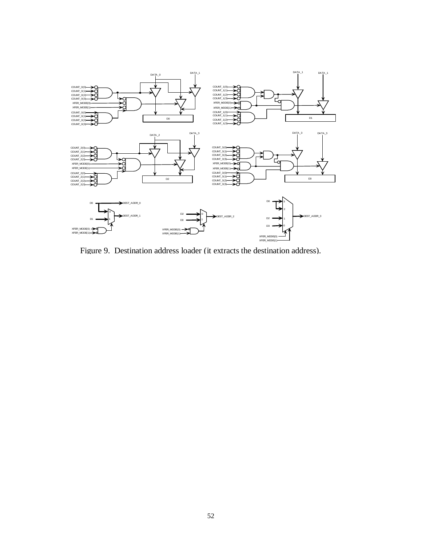

Figure 9. Destination address loader (it extracts the destination address).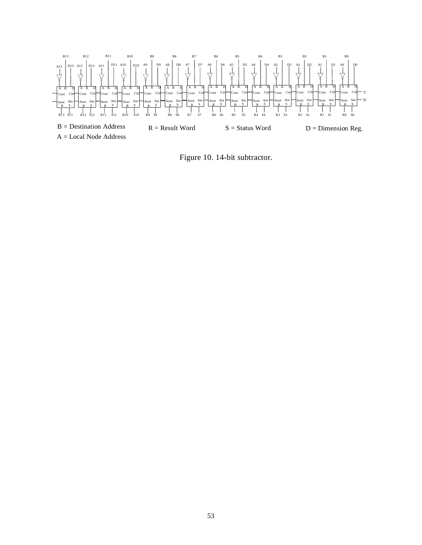

Figure 10. 14-bit subtractor.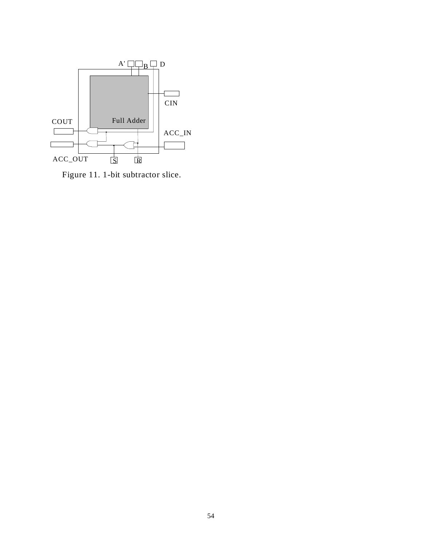

Figure 11. 1-bit subtractor slice.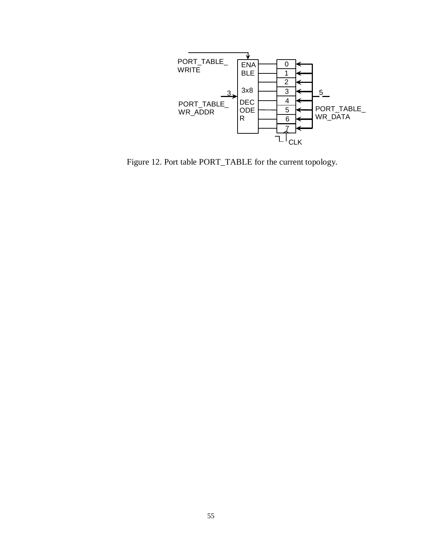

Figure 12. Port table PORT\_TABLE for the current topology.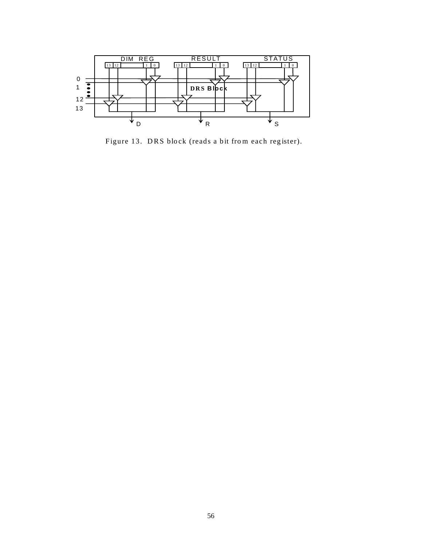

Figure 13. DRS block (reads a bit from each register).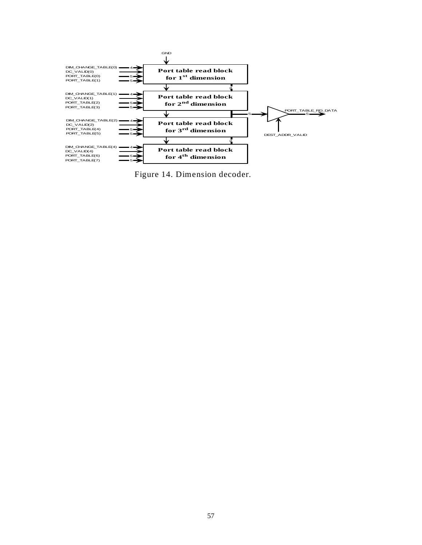

Figure 14. Dimension decoder.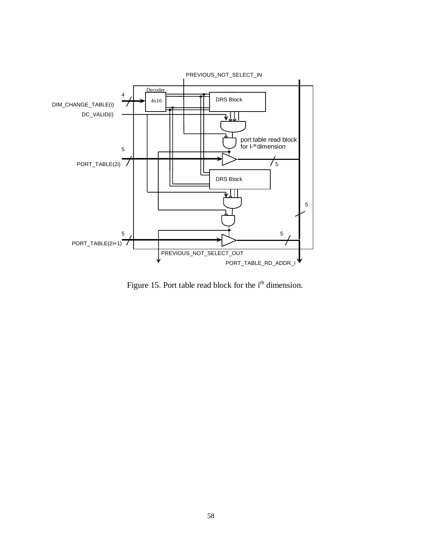![](_page_57_Figure_0.jpeg)

Figure 15. Port table read block for the i<sup>th</sup> dimension.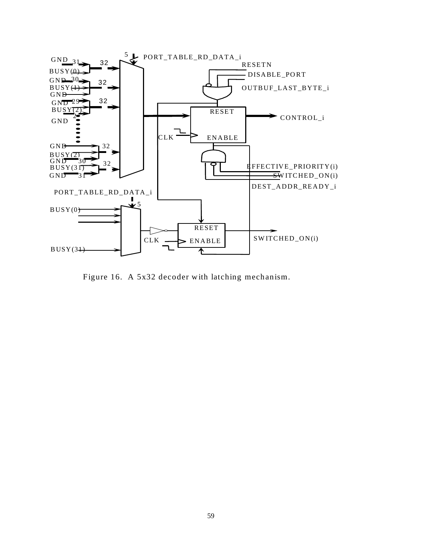![](_page_58_Figure_0.jpeg)

Figure 16. A 5x32 decoder with latching mechanism.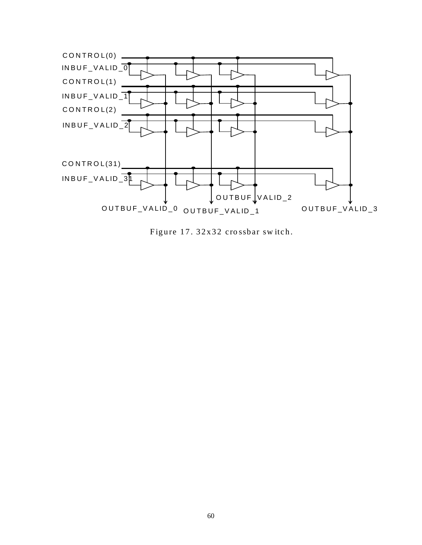![](_page_59_Figure_0.jpeg)

Figure 17. 32x32 crossbar switch.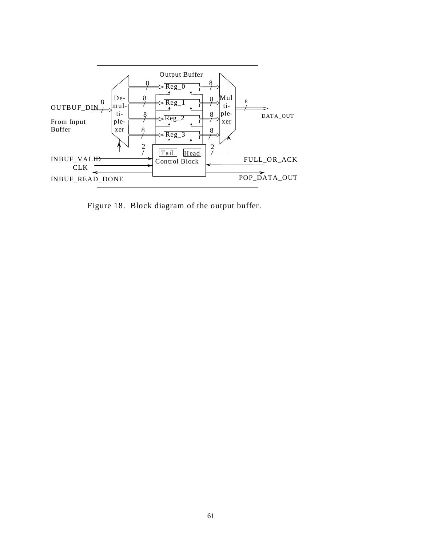![](_page_60_Figure_0.jpeg)

Figure 18. Block diagram of the output buffer.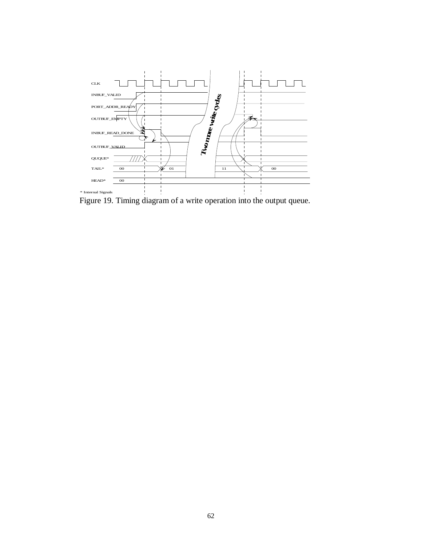![](_page_61_Figure_0.jpeg)

Figure 19. Timing diagram of a write operation into the output queue.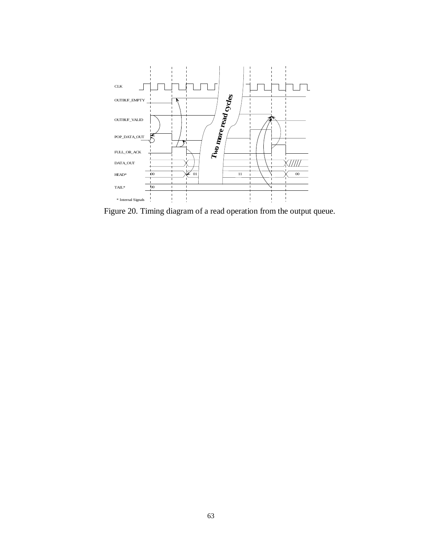![](_page_62_Figure_0.jpeg)

Figure 20. Timing diagram of a read operation from the output queue.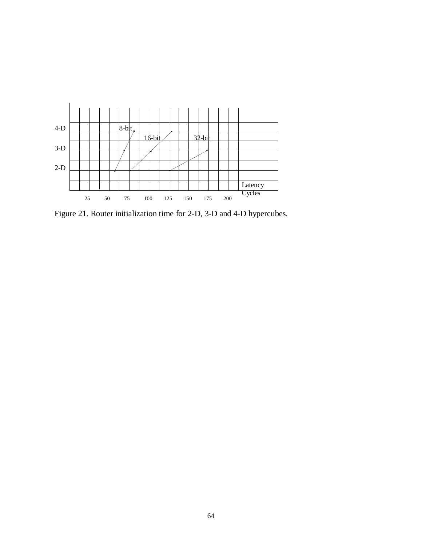![](_page_63_Figure_0.jpeg)

Figure 21. Router initialization time for 2-D, 3-D and 4-D hypercubes.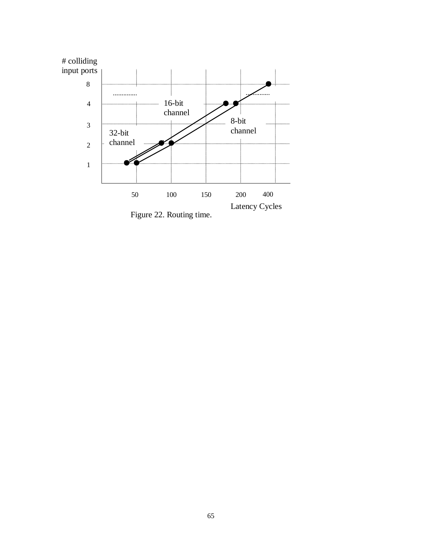![](_page_64_Figure_0.jpeg)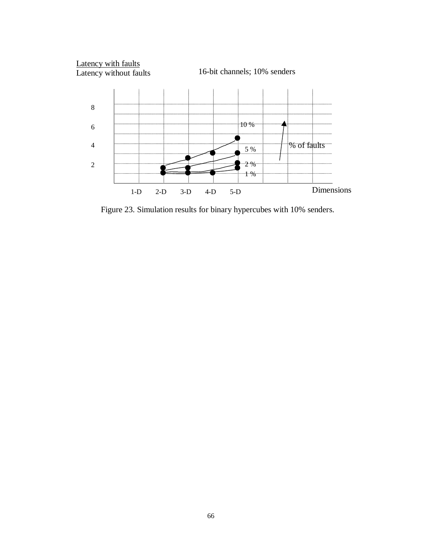![](_page_65_Figure_0.jpeg)

Figure 23. Simulation results for binary hypercubes with 10% senders.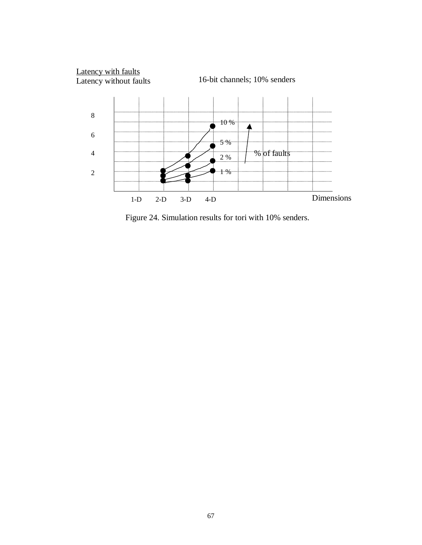![](_page_66_Figure_0.jpeg)

Figure 24. Simulation results for tori with 10% senders.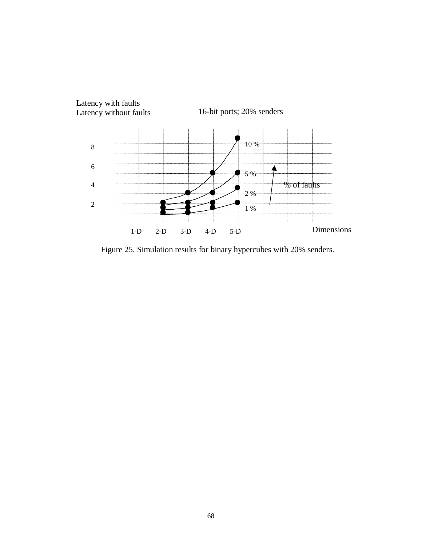![](_page_67_Figure_0.jpeg)

Figure 25. Simulation results for binary hypercubes with 20% senders.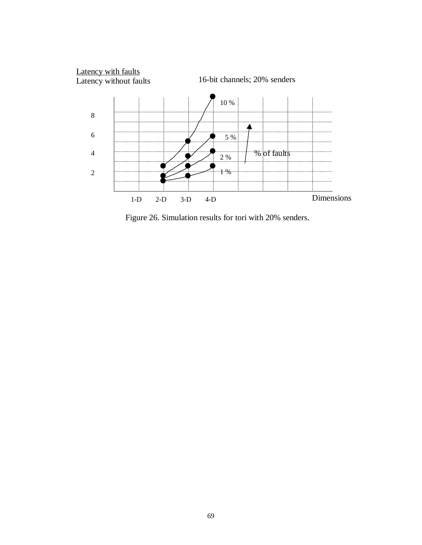![](_page_68_Figure_0.jpeg)

Figure 26. Simulation results for tori with 20% senders.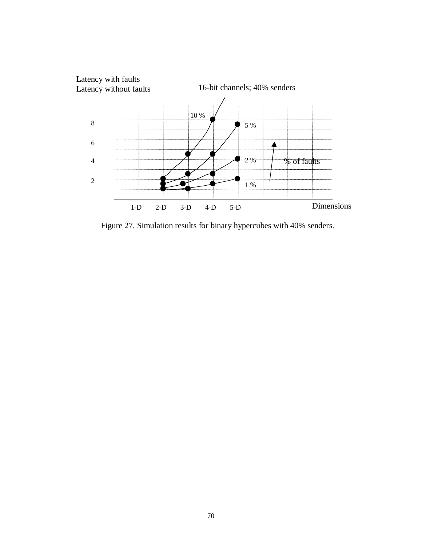![](_page_69_Figure_0.jpeg)

Figure 27. Simulation results for binary hypercubes with 40% senders.